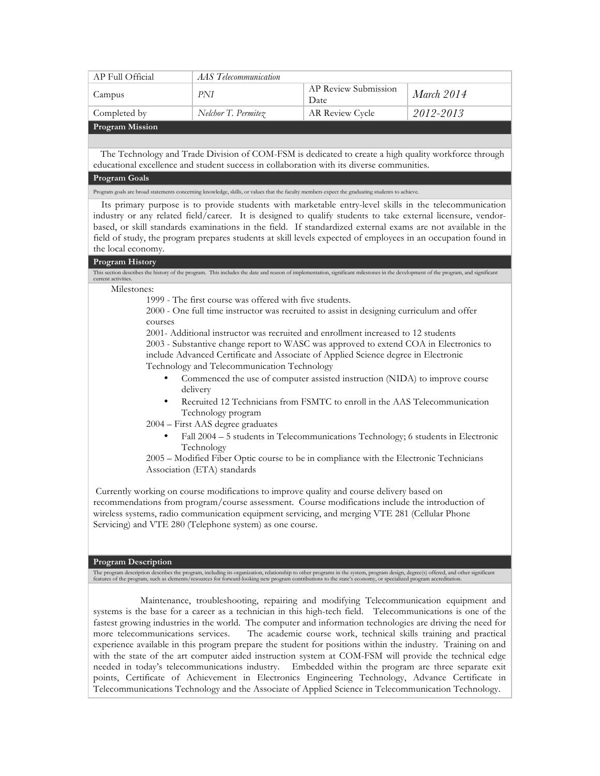| AP Full Official       | AAS Telecommunication |                              |                   |
|------------------------|-----------------------|------------------------------|-------------------|
| Campus                 | PNI                   | AP Review Submission<br>Date | <i>March</i> 2014 |
| Completed by           | Nelchor T. Permitez   | AR Review Cycle              | 2012-2013         |
| <b>Program Mission</b> |                       |                              |                   |

The Technology and Trade Division of COM-FSM is dedicated to create a high quality workforce through educational excellence and student success in collaboration with its diverse communities.

### **Program Goals**

Program goals are broad statements concerning knowledge, skills, or values that the faculty members expect the graduating students to achieve.

Its primary purpose is to provide students with marketable entry-level skills in the telecommunication industry or any related field/career. It is designed to qualify students to take external licensure, vendorbased, or skill standards examinations in the field. If standardized external exams are not available in the field of study, the program prepares students at skill levels expected of employees in an occupation found in the local economy.

#### **Program History**

| This section describes the history of the program. This includes the date and reason of implementation, significant milestones in the development of the program, and significant<br>current activities. |
|----------------------------------------------------------------------------------------------------------------------------------------------------------------------------------------------------------|
| Milestones:                                                                                                                                                                                              |
| 1999 - The first course was offered with five students.                                                                                                                                                  |
| 2000 - One full time instructor was recruited to assist in designing curriculum and offer                                                                                                                |
| courses                                                                                                                                                                                                  |
| 2001- Additional instructor was recruited and enrollment increased to 12 students                                                                                                                        |
| 2003 - Substantive change report to WASC was approved to extend COA in Electronics to                                                                                                                    |
| include Advanced Certificate and Associate of Applied Science degree in Electronic                                                                                                                       |
| Technology and Telecommunication Technology                                                                                                                                                              |
| Commenced the use of computer assisted instruction (NIDA) to improve course                                                                                                                              |
| delivery                                                                                                                                                                                                 |
| Recruited 12 Technicians from FSMTC to enroll in the AAS Telecommunication<br>٠                                                                                                                          |
| Technology program                                                                                                                                                                                       |
| 2004 – First AAS degree graduates                                                                                                                                                                        |
| Fall 2004 - 5 students in Telecommunications Technology; 6 students in Electronic                                                                                                                        |
| Technology                                                                                                                                                                                               |
| 2005 - Modified Fiber Optic course to be in compliance with the Electronic Technicians                                                                                                                   |
| Association (ETA) standards                                                                                                                                                                              |
|                                                                                                                                                                                                          |
| Currently working on course modifications to improve quality and course delivery based on                                                                                                                |
| recommendations from program/course assessment. Course modifications include the introduction of                                                                                                         |
| wireless systems, radio communication equipment servicing, and merging VTE 281 (Cellular Phone                                                                                                           |

#### **Program Description**

Servicing) and VTE 280 (Telephone system) as one course.

The program description describes the program, including its organization, relationship to other programs in the system, program design, degree(s) offered, and other significant features of the program, such as elements/re

 Maintenance, troubleshooting, repairing and modifying Telecommunication equipment and systems is the base for a career as a technician in this high-tech field. Telecommunications is one of the fastest growing industries in the world. The computer and information technologies are driving the need for more telecommunications services. The academic course work, technical skills training and practical experience available in this program prepare the student for positions within the industry. Training on and with the state of the art computer aided instruction system at COM-FSM will provide the technical edge needed in today's telecommunications industry. Embedded within the program are three separate exit points, Certificate of Achievement in Electronics Engineering Technology, Advance Certificate in Telecommunications Technology and the Associate of Applied Science in Telecommunication Technology.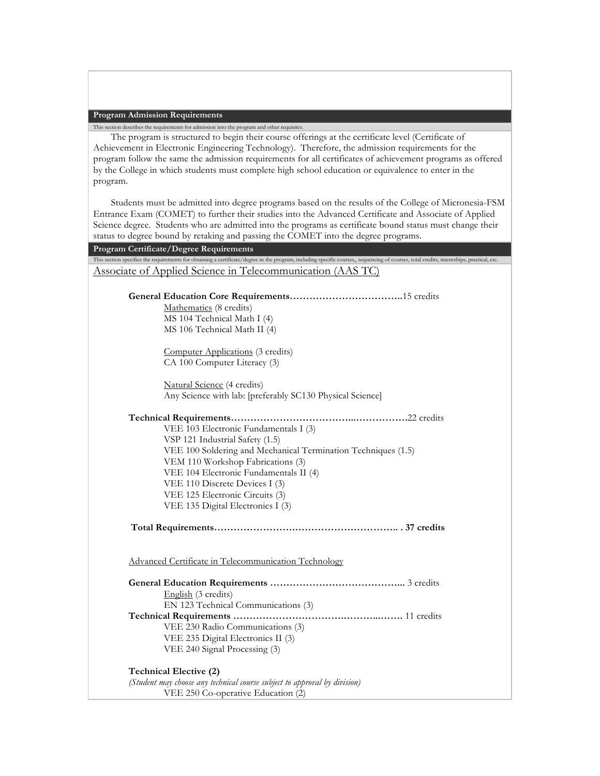### **Program Admission Requirements**

This section describes the requirements for admission into the program and other requisites. The program is structured to begin their course offerings at the certificate level (Certificate of Achievement in Electronic Engineering Technology). Therefore, the admission requirements for the program follow the same the admission requirements for all certificates of achievement programs as offered by the College in which students must complete high school education or equivalence to enter in the program.

Students must be admitted into degree programs based on the results of the College of Micronesia-FSM Entrance Exam (COMET) to further their studies into the Advanced Certificate and Associate of Applied Science degree. Students who are admitted into the programs as certificate bound status must change their status to degree bound by retaking and passing the COMET into the degree programs.

| Program Certificate/Degree Requirements                                                                                                                                                   |
|-------------------------------------------------------------------------------------------------------------------------------------------------------------------------------------------|
| This section specifies the requirements for obtaining a certificate/degree in the program, including specific courses, sequencing of courses, total credits, internships, practical, etc. |
| Associate of Applied Science in Telecommunication (AAS TC)                                                                                                                                |
|                                                                                                                                                                                           |
|                                                                                                                                                                                           |
| Mathematics (8 credits)                                                                                                                                                                   |
| MS 104 Technical Math I (4)                                                                                                                                                               |
| MS 106 Technical Math II (4)                                                                                                                                                              |
| Computer Applications (3 credits)                                                                                                                                                         |
| CA 100 Computer Literacy (3)                                                                                                                                                              |
|                                                                                                                                                                                           |
| Natural Science (4 credits)                                                                                                                                                               |
| Any Science with lab: [preferably SC130 Physical Science]                                                                                                                                 |
|                                                                                                                                                                                           |
|                                                                                                                                                                                           |
| VEE 103 Electronic Fundamentals I (3)                                                                                                                                                     |
| VSP 121 Industrial Safety (1.5)                                                                                                                                                           |
| VEE 100 Soldering and Mechanical Termination Techniques (1.5)                                                                                                                             |
| VEM 110 Workshop Fabrications (3)                                                                                                                                                         |
| VEE 104 Electronic Fundamentals II (4)                                                                                                                                                    |
| VEE 110 Discrete Devices I (3)                                                                                                                                                            |
| VEE 125 Electronic Circuits (3)                                                                                                                                                           |
| VEE 135 Digital Electronics I (3)                                                                                                                                                         |
|                                                                                                                                                                                           |
|                                                                                                                                                                                           |
|                                                                                                                                                                                           |
| Advanced Certificate in Telecommunication Technology                                                                                                                                      |
|                                                                                                                                                                                           |
|                                                                                                                                                                                           |
| English (3 credits)                                                                                                                                                                       |
| EN 123 Technical Communications (3)                                                                                                                                                       |
|                                                                                                                                                                                           |
| VEE 230 Radio Communications (3)                                                                                                                                                          |
| VEE 235 Digital Electronics II (3)                                                                                                                                                        |
| VEE 240 Signal Processing (3)                                                                                                                                                             |
|                                                                                                                                                                                           |
| Technical Elective (2)                                                                                                                                                                    |
| (Student may choose any technical course subject to approval by division)                                                                                                                 |
| VEE 250 Co-operative Education (2)                                                                                                                                                        |
|                                                                                                                                                                                           |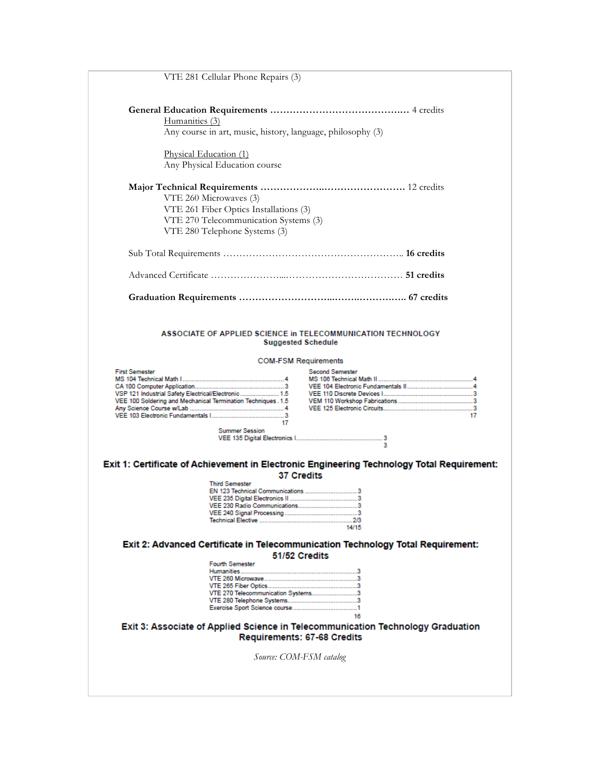|                       | VTE 281 Cellular Phone Repairs (3)                                                                                                                                                                        |                                                                                                                                                                                            |
|-----------------------|-----------------------------------------------------------------------------------------------------------------------------------------------------------------------------------------------------------|--------------------------------------------------------------------------------------------------------------------------------------------------------------------------------------------|
|                       | Humanities (3)                                                                                                                                                                                            |                                                                                                                                                                                            |
|                       | Any course in art, music, history, language, philosophy (3)                                                                                                                                               |                                                                                                                                                                                            |
|                       | Physical Education (1)                                                                                                                                                                                    |                                                                                                                                                                                            |
|                       | Any Physical Education course                                                                                                                                                                             |                                                                                                                                                                                            |
|                       | VTE 260 Microwaves (3)                                                                                                                                                                                    |                                                                                                                                                                                            |
|                       |                                                                                                                                                                                                           |                                                                                                                                                                                            |
|                       | VTE 261 Fiber Optics Installations (3)                                                                                                                                                                    |                                                                                                                                                                                            |
|                       | VTE 270 Telecommunication Systems (3)                                                                                                                                                                     |                                                                                                                                                                                            |
|                       | VTE 280 Telephone Systems (3)                                                                                                                                                                             |                                                                                                                                                                                            |
|                       |                                                                                                                                                                                                           |                                                                                                                                                                                            |
|                       |                                                                                                                                                                                                           |                                                                                                                                                                                            |
|                       |                                                                                                                                                                                                           |                                                                                                                                                                                            |
| <b>First Semester</b> | <b>Suggested Schedule</b><br><b>COM-FSM Requirements</b><br>VSP 121 Industrial Safety Electrical/Electronic 1.5<br>VEE 100 Soldering and Mechanical Termination Techniques . 1.5<br><b>Summer Session</b> | ASSOCIATE OF APPLIED SCIENCE in TELECOMMUNICATION TECHNOLOGY<br><b>Second Semester</b><br>17<br>Exit 1: Certificate of Achievement in Electronic Engineering Technology Total Requirement: |
|                       | <b>37 Credits</b><br><b>Third Semester</b>                                                                                                                                                                |                                                                                                                                                                                            |
|                       |                                                                                                                                                                                                           |                                                                                                                                                                                            |
|                       |                                                                                                                                                                                                           |                                                                                                                                                                                            |
|                       |                                                                                                                                                                                                           |                                                                                                                                                                                            |
|                       |                                                                                                                                                                                                           |                                                                                                                                                                                            |
|                       |                                                                                                                                                                                                           | 14/15                                                                                                                                                                                      |
|                       |                                                                                                                                                                                                           | Exit 2: Advanced Certificate in Telecommunication Technology Total Requirement:                                                                                                            |
|                       | 51/52 Credits                                                                                                                                                                                             |                                                                                                                                                                                            |
|                       | <b>Fourth Semester</b>                                                                                                                                                                                    |                                                                                                                                                                                            |
|                       |                                                                                                                                                                                                           |                                                                                                                                                                                            |
|                       |                                                                                                                                                                                                           |                                                                                                                                                                                            |
|                       |                                                                                                                                                                                                           |                                                                                                                                                                                            |
|                       | VTE 270 Telecommunication Systems3                                                                                                                                                                        |                                                                                                                                                                                            |
|                       |                                                                                                                                                                                                           |                                                                                                                                                                                            |
|                       |                                                                                                                                                                                                           | 16                                                                                                                                                                                         |
|                       |                                                                                                                                                                                                           |                                                                                                                                                                                            |
|                       | Requirements: 67-68 Credits                                                                                                                                                                               | Exit 3: Associate of Applied Science in Telecommunication Technology Graduation                                                                                                            |
|                       |                                                                                                                                                                                                           |                                                                                                                                                                                            |
|                       | Source: COM-FSM catalog                                                                                                                                                                                   |                                                                                                                                                                                            |
|                       |                                                                                                                                                                                                           |                                                                                                                                                                                            |
|                       |                                                                                                                                                                                                           |                                                                                                                                                                                            |
|                       |                                                                                                                                                                                                           |                                                                                                                                                                                            |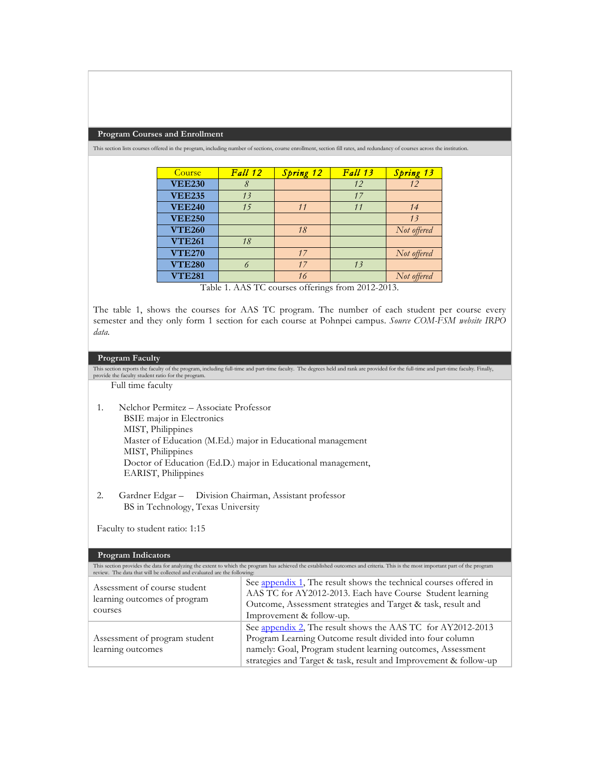#### **Program Courses and Enrollment**

This section lists courses offered in the program, including number of sections, course enrollment, section fill rates, and redundancy of courses across the institution.

| Course        | Fall 12 | Spring 12 | Fall 13 | Spring 13   |
|---------------|---------|-----------|---------|-------------|
| <b>VEE230</b> |         |           | 12      | 12          |
| <b>VEE235</b> | 13      |           | 17      |             |
| <b>VEE240</b> | 15      | 11        | 11      | 14          |
| <b>VEE250</b> |         |           |         | 13          |
| <b>VTE260</b> |         | 18        |         | Not offered |
| <b>VTE261</b> | 18      |           |         |             |
| <b>VTE270</b> |         | 17        |         | Not offered |
| <b>VTE280</b> |         | 17        | 13      |             |
| <b>VTE281</b> |         | 16        |         | Not offered |

Table 1. AAS TC courses offerings from 2012-2013.

The table 1, shows the courses for AAS TC program. The number of each student per course every semester and they only form 1 section for each course at Pohnpei campus. *Source COM-FSM website IRPO data.*

# **Program Faculty**

This section reports the faculty of the program, including full-time and part-time faculty. The degrees held and rank are provided for the full-time and part-time faculty. Finally, provide the faculty student ratio for the program. Full time faculty 1. Nelchor Permitez – Associate Professor BSIE major in Electronics MIST, Philippines Master of Education (M.Ed.) major in Educational management MIST, Philippines Doctor of Education (Ed.D.) major in Educational management, EARIST, Philippines

2. Gardner Edgar – Division Chairman, Assistant professor BS in Technology, Texas University

Faculty to student ratio: 1:15

## **Program Indicators**

| review. The data that will be collected and evaluated are the following: | This section provides the data for analyzing the extent to which the program has achieved the established outcomes and criteria. This is the most important part of the program                                                                            |
|--------------------------------------------------------------------------|------------------------------------------------------------------------------------------------------------------------------------------------------------------------------------------------------------------------------------------------------------|
| Assessment of course student<br>learning outcomes of program<br>courses  | See appendix 1, The result shows the technical courses offered in<br>AAS TC for AY2012-2013. Each have Course Student learning<br>Outcome, Assessment strategies and Target & task, result and<br>Improvement & follow-up.                                 |
| Assessment of program student<br>learning outcomes                       | See appendix 2, The result shows the AAS TC for AY2012-2013<br>Program Learning Outcome result divided into four column<br>namely: Goal, Program student learning outcomes, Assessment<br>strategies and Target & task, result and Improvement & follow-up |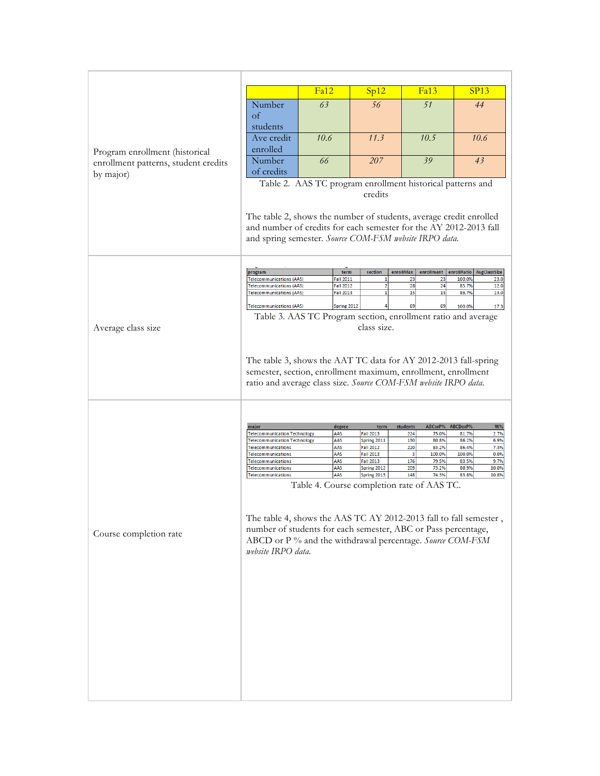|                                                                        |                                                                                                                                                                                                                                                                                                                                                                                                                           | Fa12 |                                                         | Sp12                                                                                                                                     | Fa13                                                                                                                                                                             | SP13                                                                                                                                     |  |
|------------------------------------------------------------------------|---------------------------------------------------------------------------------------------------------------------------------------------------------------------------------------------------------------------------------------------------------------------------------------------------------------------------------------------------------------------------------------------------------------------------|------|---------------------------------------------------------|------------------------------------------------------------------------------------------------------------------------------------------|----------------------------------------------------------------------------------------------------------------------------------------------------------------------------------|------------------------------------------------------------------------------------------------------------------------------------------|--|
|                                                                        | Number<br>$\alpha$<br>students                                                                                                                                                                                                                                                                                                                                                                                            | 63   |                                                         | 56                                                                                                                                       | 51                                                                                                                                                                               | 44                                                                                                                                       |  |
|                                                                        | Ave credit<br>enrolled                                                                                                                                                                                                                                                                                                                                                                                                    | 10.6 |                                                         | 11.3                                                                                                                                     | 10.5                                                                                                                                                                             | 10.6                                                                                                                                     |  |
| Program enrollment (historical<br>enrollment patterns, student credits | Number<br>of credits                                                                                                                                                                                                                                                                                                                                                                                                      | 66   |                                                         | 207                                                                                                                                      | 39                                                                                                                                                                               | 43                                                                                                                                       |  |
| by major)                                                              | Table 2. AAS TC program enrollment historical patterns and<br>credits                                                                                                                                                                                                                                                                                                                                                     |      |                                                         |                                                                                                                                          |                                                                                                                                                                                  |                                                                                                                                          |  |
|                                                                        | The table 2, shows the number of students, average credit enrolled<br>and number of credits for each semester for the AY 2012-2013 fall<br>and spring semester. Source COM-FSM website IRPO data.                                                                                                                                                                                                                         |      |                                                         |                                                                                                                                          |                                                                                                                                                                                  |                                                                                                                                          |  |
|                                                                        | program                                                                                                                                                                                                                                                                                                                                                                                                                   |      | term                                                    | section                                                                                                                                  | enrollMax<br>enrollment                                                                                                                                                          | enrollRatio<br>AvgClassSize                                                                                                              |  |
|                                                                        | <b>Telecommunications (AAS)</b><br><b>Telecommunications (AAS)</b>                                                                                                                                                                                                                                                                                                                                                        |      | <b>Fall 2011</b><br><b>Fall 2012</b>                    | 1<br>2                                                                                                                                   | 23<br>23<br>28<br>24                                                                                                                                                             | 100.0%<br>23.0<br>12.0<br>85.7%                                                                                                          |  |
|                                                                        | <b>Telecommunications (AAS)</b>                                                                                                                                                                                                                                                                                                                                                                                           |      | <b>Fall 2013</b>                                        | $\mathbf{1}$                                                                                                                             | 15<br>13                                                                                                                                                                         | 86.7%<br>13.0                                                                                                                            |  |
|                                                                        | <b>Telecommunications (AAS)</b>                                                                                                                                                                                                                                                                                                                                                                                           |      | Spring 2012                                             |                                                                                                                                          | 69<br>69                                                                                                                                                                         | 100.0%<br>17.3                                                                                                                           |  |
| Average class size                                                     | Table 3. AAS TC Program section, enrollment ratio and average<br>class size.                                                                                                                                                                                                                                                                                                                                              |      |                                                         |                                                                                                                                          |                                                                                                                                                                                  |                                                                                                                                          |  |
|                                                                        | The table 3, shows the AAT TC data for AY 2012-2013 fall-spring<br>semester, section, enrollment maximum, enrollment, enrollment<br>ratio and average class size. Source COM-FSM website IRPO data.                                                                                                                                                                                                                       |      |                                                         |                                                                                                                                          |                                                                                                                                                                                  |                                                                                                                                          |  |
| Course completion rate                                                 | major<br><b>Telecommunication Technology</b><br><b>Telecommunication Technology</b><br>Telecommunications<br>Telecommunications<br>Telecommunications<br>Telecommunications<br>Telecommunications<br>The table 4, shows the AAS TC AY 2012-2013 fall to fall semester,<br>number of students for each semester, ABC or Pass percentage,<br>ABCD or P% and the withdrawal percentage. Source COM-FSM<br>website IRPO data. |      | degree<br>AAS<br>AAS<br>AAS<br>AAS<br>AAS<br>AAS<br>AAS | term<br><b>Fall 2013</b><br><b>Spring 2011</b><br><b>Fall 2012</b><br><b>Fall 2013</b><br><b>Fall 2013</b><br>Spring 2012<br>Spring 2013 | ABCorP%<br>students<br>224<br>75.0%<br>130<br>80.8%<br>220<br>83.2%<br>3<br>100.0%<br>176<br>79.5%<br>209<br>73.2%<br>148<br>74.3%<br>Table 4. Course completion rate of AAS TC. | ABCDorP%<br>W%<br>81.7%<br>2.7%<br>86.2%<br>6.9%<br>86.4%<br>7.3%<br>100.0%<br>0.0%<br>83.5%<br>9.7%<br>80.9%<br>10.0%<br>10.8%<br>83.8% |  |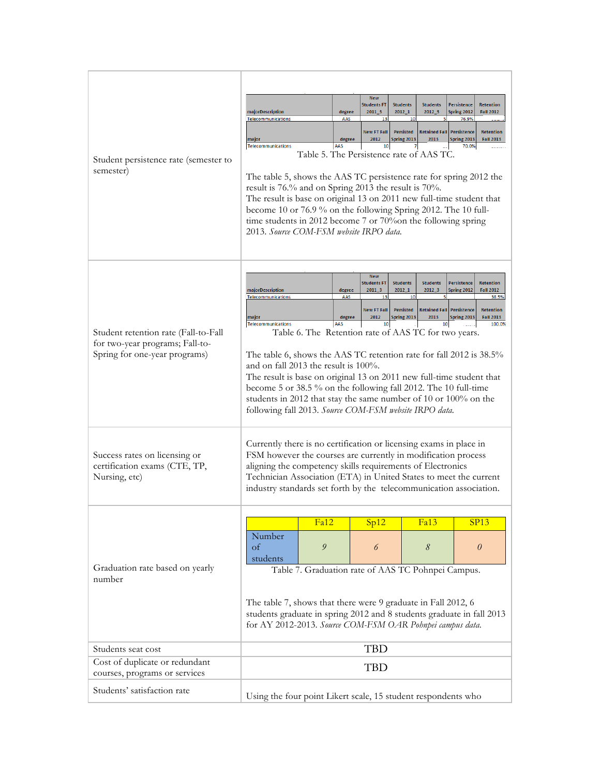| Student persistence rate (semester to<br>semester)                                                       | <b>New</b><br><b>Students FT</b><br><b>Students</b><br><b>Students</b><br>Persistence<br><b>Retention</b><br>2011 3<br>$2012 - 1$<br>$2012 - 3$<br>Spring 2012<br>majorDescription<br><b>Fall 2012</b><br>degree<br>Telecommunications<br>76.9%<br>AAS<br>13<br>10<br><b>New FT Fall</b><br>Persisted<br><b>Retained Fall</b><br>Persistence<br><b>Retention</b><br>Spring 2013<br>2012<br>2013<br>Spring 2013<br><b>Fall 2013</b><br>major<br>degree<br>AAS<br><b>Telecommunications</b><br>10<br>70.0%<br>Table 5. The Persistence rate of AAS TC.<br>The table 5, shows the AAS TC persistence rate for spring 2012 the<br>result is 76.% and on Spring 2013 the result is 70%.<br>The result is base on original 13 on 2011 new full-time student that<br>become 10 or 76.9 % on the following Spring 2012. The 10 full-<br>time students in 2012 become 7 or 70% on the following spring<br>2013. Source COM-FSM website IRPO data.                                    |      |      |      |             |
|----------------------------------------------------------------------------------------------------------|-----------------------------------------------------------------------------------------------------------------------------------------------------------------------------------------------------------------------------------------------------------------------------------------------------------------------------------------------------------------------------------------------------------------------------------------------------------------------------------------------------------------------------------------------------------------------------------------------------------------------------------------------------------------------------------------------------------------------------------------------------------------------------------------------------------------------------------------------------------------------------------------------------------------------------------------------------------------------------|------|------|------|-------------|
| Student retention rate (Fall-to-Fall<br>for two-year programs; Fall-to-<br>Spring for one-year programs) | <b>New</b><br><b>Students FT</b><br><b>Students</b><br><b>Students</b><br><b>Persistence</b><br><b>Retention</b><br>2011 3<br>$2012 - 1$<br>$2012 - 3$<br>Spring 2012<br><b>Fall 2012</b><br>majorDescription<br>degree<br>Telecommunications<br>AAS<br>13<br>10<br>5<br>38.5%<br><b>New FT Fall</b><br><b>Persisted</b><br><b>Retained Fall Persistence</b><br><b>Retention</b><br>2012<br>Spring 2013<br>2013<br><b>Fall 2013</b><br>degree<br>Spring 2013<br>major<br>AAS<br>100.0%<br>Telecommunications<br>10<br>10<br>Table 6. The Retention rate of AAS TC for two years.<br>The table 6, shows the AAS TC retention rate for fall 2012 is 38.5%<br>and on fall 2013 the result is $100\%$ .<br>The result is base on original 13 on 2011 new full-time student that<br>become 5 or 38.5 % on the following fall 2012. The 10 full-time<br>students in 2012 that stay the same number of 10 or 100% on the<br>following fall 2013. Source COM-FSM website IRPO data. |      |      |      |             |
| Success rates on licensing or<br>certification exams (CTE, TP,<br>Nursing, etc)                          | Currently there is no certification or licensing exams in place in<br>FSM however the courses are currently in modification process<br>aligning the competency skills requirements of Electronics<br>Technician Association (ETA) in United States to meet the current<br>industry standards set forth by the telecommunication association.                                                                                                                                                                                                                                                                                                                                                                                                                                                                                                                                                                                                                                |      |      |      |             |
|                                                                                                          |                                                                                                                                                                                                                                                                                                                                                                                                                                                                                                                                                                                                                                                                                                                                                                                                                                                                                                                                                                             | Fa12 | Sp12 | Fa13 | <b>SP13</b> |
| Graduation rate based on yearly                                                                          | Number<br>of<br>students                                                                                                                                                                                                                                                                                                                                                                                                                                                                                                                                                                                                                                                                                                                                                                                                                                                                                                                                                    | 9    | 6    | 8    | $\theta$    |
| number                                                                                                   | Table 7. Graduation rate of AAS TC Pohnpei Campus.<br>The table 7, shows that there were 9 graduate in Fall 2012, 6<br>students graduate in spring 2012 and 8 students graduate in fall 2013                                                                                                                                                                                                                                                                                                                                                                                                                                                                                                                                                                                                                                                                                                                                                                                |      |      |      |             |
|                                                                                                          | for AY 2012-2013. Source COM-FSM OAR Pohnpei campus data.                                                                                                                                                                                                                                                                                                                                                                                                                                                                                                                                                                                                                                                                                                                                                                                                                                                                                                                   |      |      |      |             |
| Students seat cost                                                                                       | <b>TBD</b>                                                                                                                                                                                                                                                                                                                                                                                                                                                                                                                                                                                                                                                                                                                                                                                                                                                                                                                                                                  |      |      |      |             |
| Cost of duplicate or redundant<br>courses, programs or services                                          | <b>TBD</b>                                                                                                                                                                                                                                                                                                                                                                                                                                                                                                                                                                                                                                                                                                                                                                                                                                                                                                                                                                  |      |      |      |             |
| Students' satisfaction rate                                                                              | Using the four point Likert scale, 15 student respondents who                                                                                                                                                                                                                                                                                                                                                                                                                                                                                                                                                                                                                                                                                                                                                                                                                                                                                                               |      |      |      |             |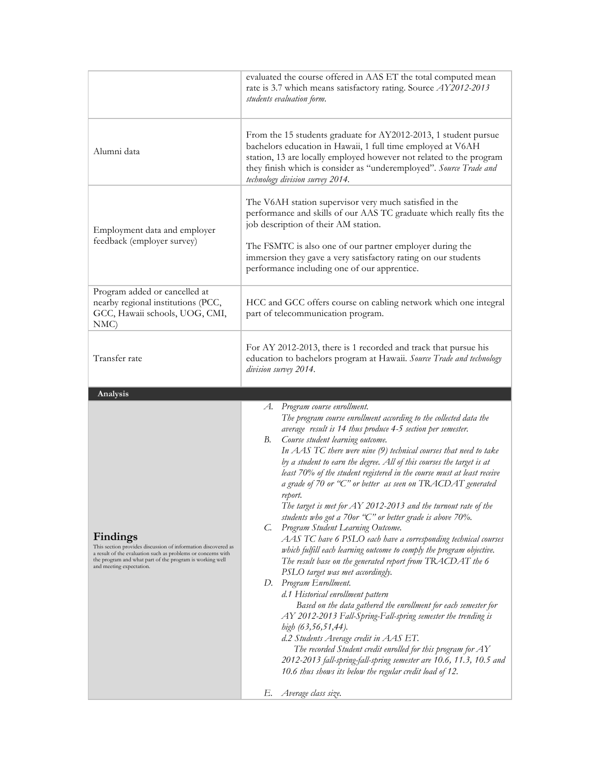|                                                                                                                                                                                                                                   | evaluated the course offered in AAS ET the total computed mean<br>rate is 3.7 which means satisfactory rating. Source AY2012-2013<br>students evaluation form.                                                                                                                                                                                                                                                                                                                                                                                                                                                                                                                                                                                                                                                                                                                                                                                                                                                                                                                                                                                                                                                                                                                                                                                                                                                                                     |  |  |  |
|-----------------------------------------------------------------------------------------------------------------------------------------------------------------------------------------------------------------------------------|----------------------------------------------------------------------------------------------------------------------------------------------------------------------------------------------------------------------------------------------------------------------------------------------------------------------------------------------------------------------------------------------------------------------------------------------------------------------------------------------------------------------------------------------------------------------------------------------------------------------------------------------------------------------------------------------------------------------------------------------------------------------------------------------------------------------------------------------------------------------------------------------------------------------------------------------------------------------------------------------------------------------------------------------------------------------------------------------------------------------------------------------------------------------------------------------------------------------------------------------------------------------------------------------------------------------------------------------------------------------------------------------------------------------------------------------------|--|--|--|
| Alumni data                                                                                                                                                                                                                       | From the 15 students graduate for AY2012-2013, 1 student pursue<br>bachelors education in Hawaii, 1 full time employed at V6AH<br>station, 13 are locally employed however not related to the program<br>they finish which is consider as "underemployed". Source Trade and<br>technology division survey 2014.                                                                                                                                                                                                                                                                                                                                                                                                                                                                                                                                                                                                                                                                                                                                                                                                                                                                                                                                                                                                                                                                                                                                    |  |  |  |
| Employment data and employer<br>feedback (employer survey)                                                                                                                                                                        | The V6AH station supervisor very much satisfied in the<br>performance and skills of our AAS TC graduate which really fits the<br>job description of their AM station.<br>The FSMTC is also one of our partner employer during the<br>immersion they gave a very satisfactory rating on our students<br>performance including one of our apprentice.                                                                                                                                                                                                                                                                                                                                                                                                                                                                                                                                                                                                                                                                                                                                                                                                                                                                                                                                                                                                                                                                                                |  |  |  |
| Program added or cancelled at<br>nearby regional institutions (PCC,<br>GCC, Hawaii schools, UOG, CMI,<br>NMC                                                                                                                      | HCC and GCC offers course on cabling network which one integral<br>part of telecommunication program.                                                                                                                                                                                                                                                                                                                                                                                                                                                                                                                                                                                                                                                                                                                                                                                                                                                                                                                                                                                                                                                                                                                                                                                                                                                                                                                                              |  |  |  |
| Transfer rate                                                                                                                                                                                                                     | For AY 2012-2013, there is 1 recorded and track that pursue his<br>education to bachelors program at Hawaii. Source Trade and technology<br>division survey 2014.                                                                                                                                                                                                                                                                                                                                                                                                                                                                                                                                                                                                                                                                                                                                                                                                                                                                                                                                                                                                                                                                                                                                                                                                                                                                                  |  |  |  |
| Analysis                                                                                                                                                                                                                          |                                                                                                                                                                                                                                                                                                                                                                                                                                                                                                                                                                                                                                                                                                                                                                                                                                                                                                                                                                                                                                                                                                                                                                                                                                                                                                                                                                                                                                                    |  |  |  |
| Findings<br>This section provides discussion of information discovered as<br>a result of the evaluation such as problems or concerns with<br>the program and what part of the program is working well<br>and meeting expectation. | Program course enrollment.<br>А.<br>The program course enrollment according to the collected data the<br>average result is 14 thus produce 4-5 section per semester.<br>В.<br>Course student learning outcome.<br>In AAS TC there were nine (9) technical courses that need to take<br>by a student to earn the degree. All of this courses the target is at<br>least 70% of the student registered in the course must at least receive<br>a grade of 70 or "C" or better as seen on TRACDAT generated<br>report.<br>The target is met for $AY$ 2012-2013 and the turnout rate of the<br>students who got a 70or "C" or better grade is above 70%.<br>Program Student Learning Outcome.<br>C.<br>AAS TC have 6 PSLO each have a corresponding technical courses<br>which fulfill each learning outcome to comply the program objective.<br>The result base on the generated report from TRACDAT the 6<br>PSLO target was met accordingly.<br>Program Enrollment.<br>D.<br>d.1 Historical enrollment pattern<br>Based on the data gathered the enrollment for each semester for<br>AY 2012-2013 Fall-Spring-Fall-spring semester the trending is<br>high (63,56,51,44).<br>d.2 Students Average credit in AAS ET.<br>The recorded Student credit enrolled for this program for $AY$<br>2012-2013 fall-spring-fall-spring semester are 10.6, 11.3, 10.5 and<br>10.6 thus shows its below the regular credit load of 12.<br>Average class size.<br>Е. |  |  |  |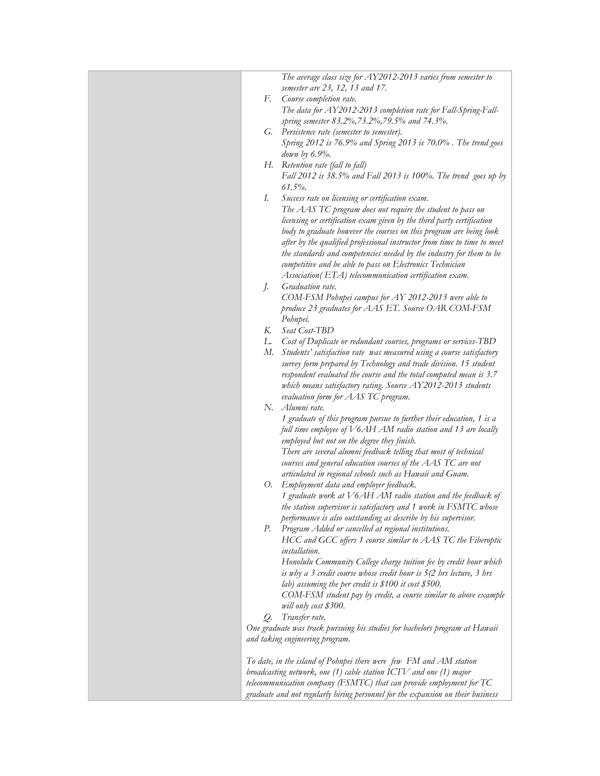| The average class size for AY2012-2013 varies from semester to                                                                             |
|--------------------------------------------------------------------------------------------------------------------------------------------|
| semester are 23, 12, 13 and 17.                                                                                                            |
| F.<br>Course completion rate.                                                                                                              |
| The data for AY2012-2013 completion rate for Fall-Spring-Fall-                                                                             |
| spring semester 83.2%, 73.2%, 79.5% and 74.3%.                                                                                             |
| G. Persistence rate (semester to semester).                                                                                                |
| Spring 2012 is 76.9% and Spring 2013 is 70.0%. The trend goes                                                                              |
| down by $6.9\%$ .                                                                                                                          |
| H. Retention rate (fall to fall)                                                                                                           |
| Fall 2012 is 38.5% and Fall 2013 is 100%. The trend goes up by                                                                             |
| $61.5\%$ .                                                                                                                                 |
| Success rate on licensing or certification exam.<br>Ι.                                                                                     |
| The AAS TC program does not require the student to pass on                                                                                 |
| licensing or certification exam given by the third party certification                                                                     |
| body to graduate however the courses on this program are being look                                                                        |
| after by the qualified professional instructor from time to time to meet                                                                   |
| the standards and competencies needed by the industry for them to be                                                                       |
| competitive and be able to pass on Electronics Technician                                                                                  |
| Association(ETA) telecommunication certification exam.                                                                                     |
| Graduation rate.<br>J.                                                                                                                     |
| COM-FSM Pohnpei campus for AY 2012-2013 were able to                                                                                       |
| produce 23 graduates for AAS ET. Source OAR COM-FSM                                                                                        |
| Pohnpei.                                                                                                                                   |
| Seat Cost-TBD<br>К.                                                                                                                        |
| L. Cost of Duplicate or redundant courses, programs or services-TBD                                                                        |
| M. Students' satisfaction rate was measured using a course satisfactory                                                                    |
|                                                                                                                                            |
| survey form prepared by Technology and trade division. 15 student<br>respondent evaluated the course and the total computed mean is 3.7    |
| which means satisfactory rating. Source AY2012-2013 students                                                                               |
| evaluation form for AAS TC program.                                                                                                        |
| N. Alumni rate.                                                                                                                            |
| 1 graduate of this program pursue to further their education, 1 is a                                                                       |
| full time employee of V6AH AM radio station and 13 are locally                                                                             |
| employed but not on the degree they finish.                                                                                                |
| There are several alumni feedback telling that most of technical                                                                           |
|                                                                                                                                            |
| courses and general education courses of the $AAS$ TC are not<br>articulated in regional schools such as Hawaii and Guam.                  |
| O. Employment data and employer feedback.                                                                                                  |
| 1 graduate work at V6AH AM radio station and the feedback of                                                                               |
|                                                                                                                                            |
| the station supervisor is satisfactory and 1 work in FSMTC whose                                                                           |
| performance is also outstanding as describe by his supervisor.<br>Р.<br>Program Added or cancelled at regional institutions.               |
| HCC and GCC offers 1 course similar to AAS TC the Fiberoptic                                                                               |
| installation.                                                                                                                              |
|                                                                                                                                            |
| Honolulu Community College charge tuition fee by credit hour which<br>is why a 3 credit course whose credit hour is 5(2 hrs lecture, 3 hrs |
| lab) assuming the per credit is \$100 it cost \$500.                                                                                       |
|                                                                                                                                            |
| COM-FSM student pay by credit, a course similar to above example                                                                           |
| will only cost \$300.                                                                                                                      |
| Transfer rate.<br>Q.                                                                                                                       |
| One graduate was track pursuing his studies for bachelors program at Hawaii                                                                |
| and taking engineering program.                                                                                                            |
|                                                                                                                                            |
| To date, in the island of Pohnpei there were few FM and AM station                                                                         |
| broadcasting network, one $(1)$ cable station ICTV and one $(1)$ major                                                                     |
| telecommunication company (FSMTC) that can provide employment for TC                                                                       |
| graduate and not regularly hiring personnel for the expansion on their business                                                            |